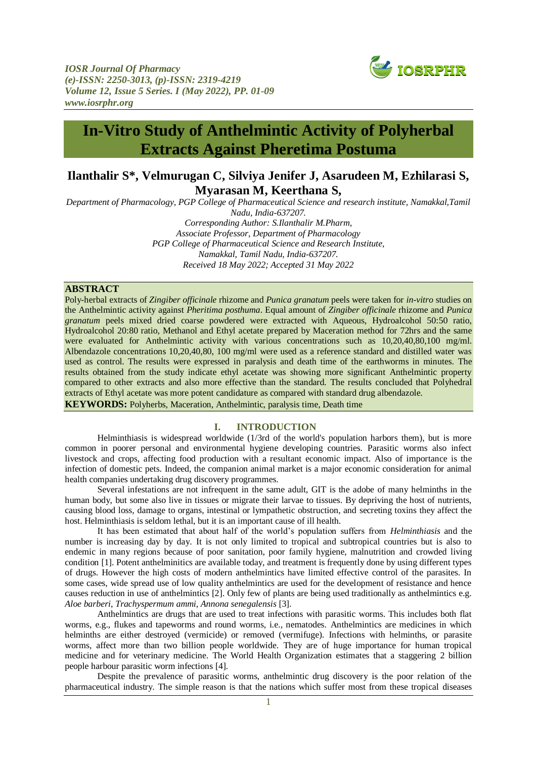

# **In-Vitro Study of Anthelmintic Activity of Polyherbal Extracts Against Pheretima Postuma**

## **Ilanthalir S\*, Velmurugan C, Silviya Jenifer J, Asarudeen M, Ezhilarasi S, Myarasan M, Keerthana S,**

*Department of Pharmacology, PGP College of Pharmaceutical Science and research institute, Namakkal,Tamil Nadu, India-637207. Corresponding Author: S.Ilanthalir M.Pharm, Associate Professor, Department of Pharmacology PGP College of Pharmaceutical Science and Research Institute, Namakkal, Tamil Nadu, India-637207. Received 18 May 2022; Accepted 31 May 2022*

## **ABSTRACT**

Poly-herbal extracts of *Zingiber officinale* rhizome and *Punica granatum* peels were taken for *in-vitro* studies on the Anthelmintic activity against *Pheritima posthuma*. Equal amount of *Zingiber officinale* rhizome and *Punica granatum* peels mixed dried coarse powdered were extracted with Aqueous, Hydroalcohol 50:50 ratio, Hydroalcohol 20:80 ratio, Methanol and Ethyl acetate prepared by Maceration method for 72hrs and the same were evaluated for Anthelmintic activity with various concentrations such as  $10,20,40,80,100$  mg/ml. Albendazole concentrations 10,20,40,80, 100 mg/ml were used as a reference standard and distilled water was used as control. The results were expressed in paralysis and death time of the earthworms in minutes. The results obtained from the study indicate ethyl acetate was showing more significant Anthelmintic property compared to other extracts and also more effective than the standard. The results concluded that Polyhedral extracts of Ethyl acetate was more potent candidature as compared with standard drug albendazole. **KEYWORDS:** Polyherbs, Maceration, Anthelmintic, paralysis time, Death time

## **I. INTRODUCTION**

Helminthiasis is widespread worldwide (1/3rd of the world's population harbors them), but is more common in poorer personal and environmental hygiene developing countries. Parasitic worms also infect livestock and crops, affecting food production with a resultant economic impact. Also of importance is the infection of domestic pets. Indeed, the companion animal market is a major economic consideration for animal health companies undertaking drug discovery programmes.

Several infestations are not infrequent in the same adult, GIT is the adobe of many helminths in the human body, but some also live in tissues or migrate their larvae to tissues. By depriving the host of nutrients, causing blood loss, damage to organs, intestinal or lympathetic obstruction, and secreting toxins they affect the host. Helminthiasis is seldom lethal, but it is an important cause of ill health.

It has been estimated that about half of the world's population suffers from *Helminthiasis* and the number is increasing day by day. It is not only limited to tropical and subtropical countries but is also to endemic in many regions because of poor sanitation, poor family hygiene, malnutrition and crowded living condition [1]. Potent anthelminitics are available today, and treatment is frequently done by using different types of drugs. However the high costs of modern anthelmintics have limited effective control of the parasites. In some cases, wide spread use of low quality anthelmintics are used for the development of resistance and hence causes reduction in use of anthelmintics [2]. Only few of plants are being used traditionally as anthelmintics e.g. *Aloe barberi*, *Trachyspermum ammi, Annona senegalensis* [3].

Anthelmintics are drugs that are used to treat infections with parasitic worms. This includes both flat worms, e.g., flukes and tapeworms and round worms, i.e., nematodes. Anthelmintics are medicines in which helminths are either destroyed (vermicide) or removed (vermifuge). Infections with helminths, or parasite worms, affect more than two billion people worldwide. They are of huge importance for human tropical medicine and for veterinary medicine. The World Health Organization estimates that a staggering 2 billion people harbour parasitic worm infections [4].

Despite the prevalence of parasitic worms, anthelmintic drug discovery is the poor relation of the pharmaceutical industry. The simple reason is that the nations which suffer most from these tropical diseases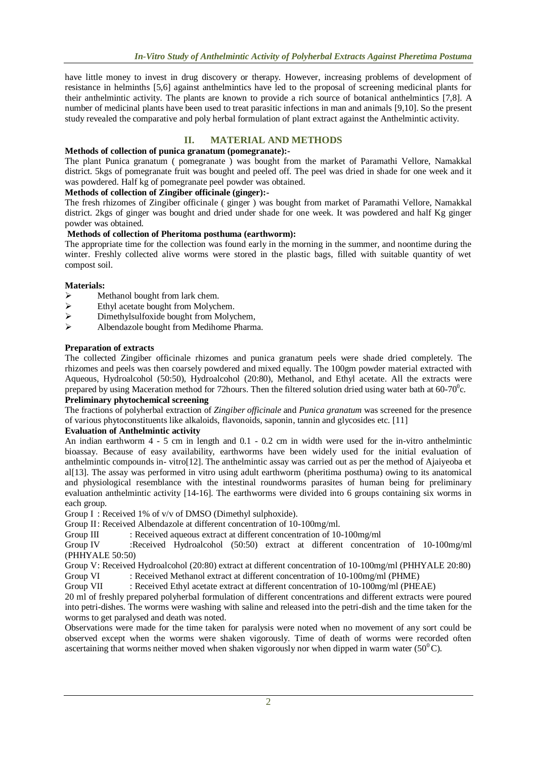have little money to invest in drug discovery or therapy. However, increasing problems of development of resistance in helminths [5,6] against anthelmintics have led to the proposal of screening medicinal plants for their anthelmintic activity. The plants are known to provide a rich source of botanical anthelmintics [7,8]. A number of medicinal plants have been used to treat parasitic infections in man and animals [9,10]. So the present study revealed the comparative and poly herbal formulation of plant extract against the Anthelmintic activity.

## **II. MATERIAL AND METHODS**

## **Methods of collection of punica granatum (pomegranate):-**

The plant Punica granatum ( pomegranate ) was bought from the market of Paramathi Vellore, Namakkal district. 5kgs of pomegranate fruit was bought and peeled off. The peel was dried in shade for one week and it was powdered. Half kg of pomegranate peel powder was obtained.

## **Methods of collection of Zingiber officinale (ginger):-**

The fresh rhizomes of Zingiber officinale ( ginger ) was bought from market of Paramathi Vellore, Namakkal district. 2kgs of ginger was bought and dried under shade for one week. It was powdered and half Kg ginger powder was obtained.

## **Methods of collection of Pheritoma posthuma (earthworm):**

The appropriate time for the collection was found early in the morning in the summer, and noontime during the winter. Freshly collected alive worms were stored in the plastic bags, filled with suitable quantity of wet compost soil.

## **Materials:**

- $\triangleright$  Methanol bought from lark chem.
- $\triangleright$  Ethyl acetate bought from Molychem.
- $\triangleright$  Dimethylsulfoxide bought from Molychem,
- Albendazole bought from Medihome Pharma.

## **Preparation of extracts**

The collected Zingiber officinale rhizomes and punica granatum peels were shade dried completely. The rhizomes and peels was then coarsely powdered and mixed equally. The 100gm powder material extracted with Aqueous, Hydroalcohol (50:50), Hydroalcohol (20:80), Methanol, and Ethyl acetate. All the extracts were prepared by using Maceration method for 72 hours. Then the filtered solution dried using water bath at 60-70 $\degree$ c.

## **Preliminary phytochemical screening**

The fractions of polyherbal extraction of *Zingiber officinale* and *Punica granatum* was screened for the presence of various phytoconstituents like alkaloids, flavonoids, saponin, tannin and glycosides etc. [11]

## **Evaluation of Anthelmintic activity**

An indian earthworm 4 - 5 cm in length and 0.1 - 0.2 cm in width were used for the in-vitro anthelmintic bioassay. Because of easy availability, earthworms have been widely used for the initial evaluation of anthelmintic compounds in- vitro[12]. The anthelmintic assay was carried out as per the method of Ajaiyeoba et al[13]. The assay was performed in vitro using adult earthworm (pheritima posthuma) owing to its anatomical and physiological resemblance with the intestinal roundworms parasites of human being for preliminary evaluation anthelmintic activity [14-16]. The earthworms were divided into 6 groups containing six worms in each group.

Group I : Received 1% of v/v of DMSO (Dimethyl sulphoxide).

Group II: Received Albendazole at different concentration of 10-100mg/ml.

Group III : Received aqueous extract at different concentration of 10-100mg/ml

Group IV :Received Hydroalcohol (50:50) extract at different concentration of 10-100mg/ml (PHHYALE 50:50)

Group V: Received Hydroalcohol (20:80) extract at different concentration of 10-100mg/ml (PHHYALE 20:80)

Group VI : Received Methanol extract at different concentration of 10-100mg/ml (PHME)

Group VII : Received Ethyl acetate extract at different concentration of 10-100mg/ml (PHEAE)

20 ml of freshly prepared polyherbal formulation of different concentrations and different extracts were poured into petri-dishes. The worms were washing with saline and released into the petri-dish and the time taken for the worms to get paralysed and death was noted.

Observations were made for the time taken for paralysis were noted when no movement of any sort could be observed except when the worms were shaken vigorously. Time of death of worms were recorded often ascertaining that worms neither moved when shaken vigorously nor when dipped in warm water  $(50^{\circ}C)$ .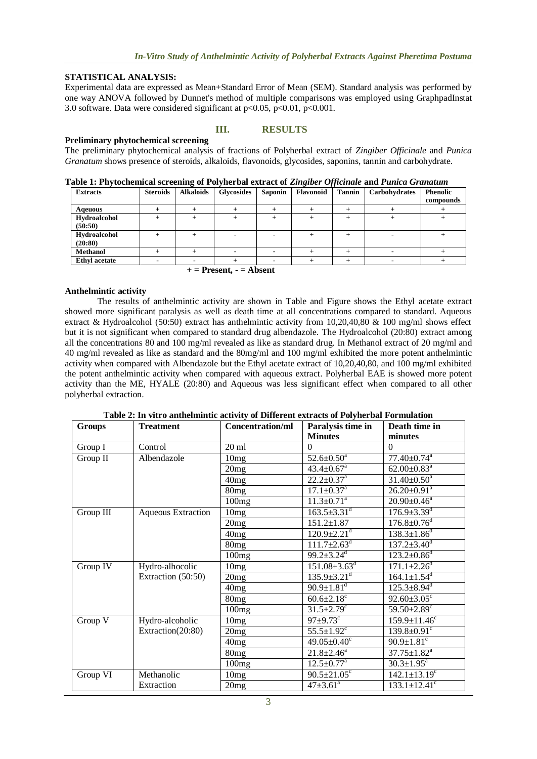## **STATISTICAL ANALYSIS:**

Experimental data are expressed as Mean+Standard Error of Mean (SEM). Standard analysis was performed by one way ANOVA followed by Dunnet's method of multiple comparisons was employed using GraphpadInstat 3.0 software. Data were considered significant at  $p<0.05$ ,  $p<0.01$ ,  $p<0.001$ .

## **Preliminary phytochemical screening**

## **III. RESULTS**

The preliminary phytochemical analysis of fractions of Polyherbal extract of *Zingiber Officinale* and *Punica Granatum* shows presence of steroids, alkaloids, flavonoids, glycosides, saponins, tannin and carbohydrate.

|  |  |  |  |  |  | Table 1: Phytochemical screening of Polyherbal extract of Zingiber Officinale and Punica Granatum |
|--|--|--|--|--|--|---------------------------------------------------------------------------------------------------|
|  |  |  |  |  |  |                                                                                                   |

| <b>Extracts</b>         | <b>Steroids</b> | <b>Alkaloids</b> | <b>Glycosides</b> | <b>Saponin</b> | Flavonoid | <b>Tannin</b> | Carbohydrates | <b>Phenolic</b><br>compounds |
|-------------------------|-----------------|------------------|-------------------|----------------|-----------|---------------|---------------|------------------------------|
| Ageuous                 |                 |                  |                   |                |           |               |               |                              |
| Hydroalcohol<br>(50:50) |                 |                  |                   |                |           |               |               |                              |
| Hydroalcohol            |                 |                  |                   |                |           |               |               |                              |
| (20:80)                 |                 |                  |                   |                |           |               |               |                              |
| <b>Methanol</b>         |                 |                  |                   |                |           |               |               |                              |
| <b>Ethyl acetate</b>    |                 |                  |                   |                |           |               |               |                              |

 **+ = Present, - = Absent**

## **Anthelmintic activity**

The results of anthelmintic activity are shown in Table and Figure shows the Ethyl acetate extract showed more significant paralysis as well as death time at all concentrations compared to standard. Aqueous extract & Hydroalcohol (50:50) extract has anthelmintic activity from 10,20,40,80 & 100 mg/ml shows effect but it is not significant when compared to standard drug albendazole. The Hydroalcohol (20:80) extract among all the concentrations 80 and 100 mg/ml revealed as like as standard drug. In Methanol extract of 20 mg/ml and 40 mg/ml revealed as like as standard and the 80mg/ml and 100 mg/ml exhibited the more potent anthelmintic activity when compared with Albendazole but the Ethyl acetate extract of 10,20,40,80, and 100 mg/ml exhibited the potent anthelmintic activity when compared with aqueous extract. Polyherbal EAE is showed more potent activity than the ME, HYALE (20:80) and Aqueous was less significant effect when compared to all other polyherbal extraction.

| <b>Groups</b> | <b>Treatment</b>          | <b>Concentration/ml</b> | Paralysis time in              | Death time in                  |
|---------------|---------------------------|-------------------------|--------------------------------|--------------------------------|
|               |                           |                         | <b>Minutes</b>                 | minutes                        |
| Group I       | Control                   | $20 \text{ ml}$         | $\Omega$                       | $\Omega$                       |
| Group II      | Albendazole               | 10mg                    | $52.6 \pm 0.50^{\circ}$        | $77.40 \pm 0.74$ <sup>a</sup>  |
|               |                           | 20mg                    | $43.4 \pm 0.67$ <sup>a</sup>   | $62.00 \pm 0.83$ <sup>a</sup>  |
|               |                           | 40mg                    | $22.2 \pm 0.37$ <sup>a</sup>   | $31.40 \pm 0.50$ <sup>a</sup>  |
|               |                           | 80mg                    | $17.1 \pm 0.37$ <sup>a</sup>   | $26.20 \pm 0.91$ <sup>a</sup>  |
|               |                           | 100mg                   | $11.3 \pm 0.71$ <sup>a</sup>   | $20.90 \pm 0.46^a$             |
| Group III     | <b>Aqueous Extraction</b> | 10mg                    | $163.5 \pm 3.31$ <sup>d</sup>  | $176.9 \pm 3.39$ <sup>d</sup>  |
|               |                           | 20mg                    | $151.2 \pm 1.87$               | $176.8 \pm 0.76$ <sup>d</sup>  |
|               |                           | 40mg                    | $120.9 \pm 2.21$ <sup>d</sup>  | $138.3 \pm 1.86$ <sup>d</sup>  |
|               |                           | 80mg                    | $111.7 \pm 2.63$ <sup>d</sup>  | $137.2 \pm 3.40$ <sup>d</sup>  |
|               |                           | 100mg                   | $99.2 \pm 3.24$ <sup>d</sup>   | $123.2 \pm 0.86$ <sup>d</sup>  |
| Group IV      | Hydro-alhocolic           | 10mg                    | $151.08 \pm 3.63$ <sup>d</sup> | $171.1 \pm 2.26$ <sup>d</sup>  |
|               | Extraction (50:50)        | 20mg                    | $135.9 \pm 3.21$ <sup>d</sup>  | $164.1 \pm 1.54$ <sup>d</sup>  |
|               |                           | 40 <sub>mg</sub>        | $90.9 \pm 1.81$ <sup>d</sup>   | $125.3 \pm 8.94$ <sup>d</sup>  |
|               |                           | 80 <sub>mg</sub>        | $60.6 \pm 2.18$                | $92.60 \pm 3.05$ <sup>c</sup>  |
|               |                           | 100mg                   | $31.5 \pm 2.79$ <sup>c</sup>   | 59.50 $\pm$ 2.89 $^{\circ}$    |
| Group V       | Hydro-alcoholic           | 10mg                    | $97 \pm 9.73$ °                | $159.9 \pm 11.46$ <sup>c</sup> |
|               | Extraction(20:80)         | 20mg                    | $55.5 \pm 1.92$ <sup>c</sup>   | $139.8 \pm 0.91$ <sup>c</sup>  |
|               |                           | 40 <sub>mg</sub>        | $49.05 \pm 0.40$ <sup>c</sup>  | $90.9 \pm 1.81$ <sup>c</sup>   |
|               |                           | 80 <sub>mg</sub>        | $21.8 \pm 2.46^a$              | $37.75 \pm 1.82^a$             |
|               |                           | 100mg                   | $12.5 \pm 0.77$ <sup>a</sup>   | $30.3 \pm 1.95^{\text{a}}$     |
| Group VI      | Methanolic                | 10mg                    | $90.5 \pm 21.05$ <sup>c</sup>  | $142.1 \pm 13.19$ <sup>c</sup> |
|               | Extraction                | 20mg                    | $47 \pm 3.61^{\text{a}}$       | $133.1 \pm 12.41$ <sup>c</sup> |

**Table 2: In vitro anthelmintic activity of Different extracts of Polyherbal Formulation**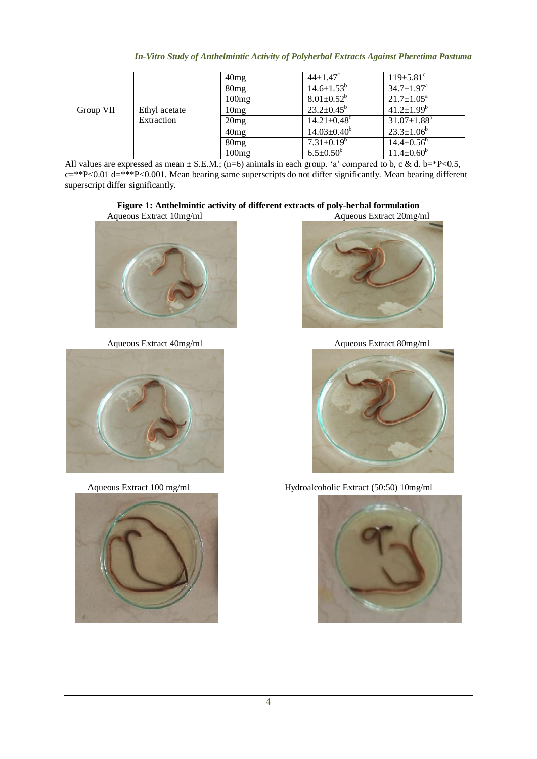|           |               | 40mg             | $44 \pm 1.47^c$               | $119 \pm 5.81$ <sup>c</sup>  |
|-----------|---------------|------------------|-------------------------------|------------------------------|
|           |               | 80 <sub>mg</sub> | $14.6 \pm 1.53^b$             | $34.7 \pm 1.97$ <sup>a</sup> |
|           |               | 100mg            | $8.01 \pm 0.52^b$             | $21.7 \pm 1.05^a$            |
| Group VII | Ethyl acetate | 10mg             | $23.2 \pm 0.45^b$             | $41.2 \pm 1.99^b$            |
|           | Extraction    | 20mg             | $14.21 \pm 0.48$ <sup>b</sup> | $31.07 \pm 1.88^b$           |
|           |               | 40mg             | $14.03 \pm 0.40^b$            | $23.3 \pm 1.06^b$            |
|           |               | 80 <sub>mg</sub> | $7.31 \pm 0.19^b$             | $14.4 \pm 0.56^{\circ}$      |
|           |               | 100mg            | $6.5 \pm 0.50^b$              | $11.4 \pm 0.60^b$            |

All values are expressed as mean  $\pm$  S.E.M.; (n=6) animals in each group. 'a' compared to b, c & d. b=\*P<0.5, c=\*\*P<0.01 d=\*\*\*P<0.001. Mean bearing same superscripts do not differ significantly. Mean bearing different superscript differ significantly.

# **Figure 1: Anthelmintic activity of different extracts of poly-herbal formulation**<br>queous Extract  $10mg/ml$  Aqueous Extract  $20mg/ml$

I









Aqueous Extract 40mg/ml Aqueous Extract 80mg/ml



Aqueous Extract 100 mg/ml Hydroalcoholic Extract (50:50) 10mg/ml

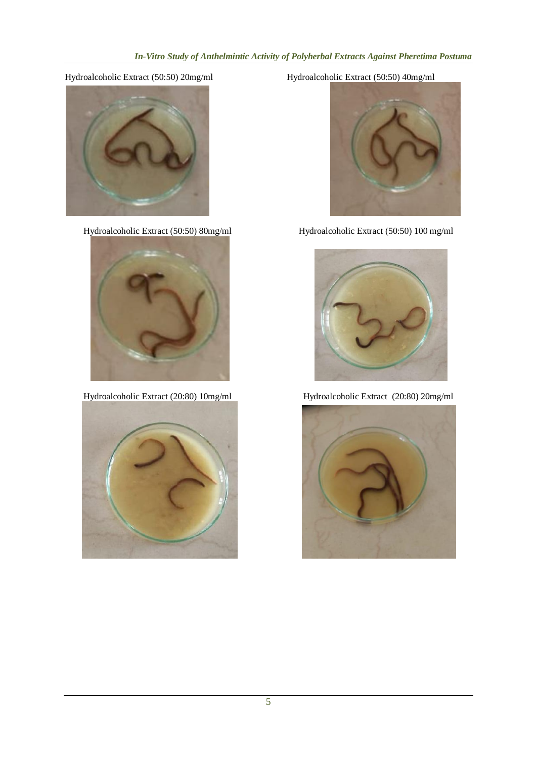



Hydroalcoholic Extract (20:80) 10mg/ml Hydroalcoholic Extract (20:80) 20mg/ml



Hydroalcoholic Extract (50:50) 20mg/ml Hydroalcoholic Extract (50:50) 40mg/ml



Hydroalcoholic Extract (50:50) 80mg/ml Hydroalcoholic Extract (50:50) 100 mg/ml



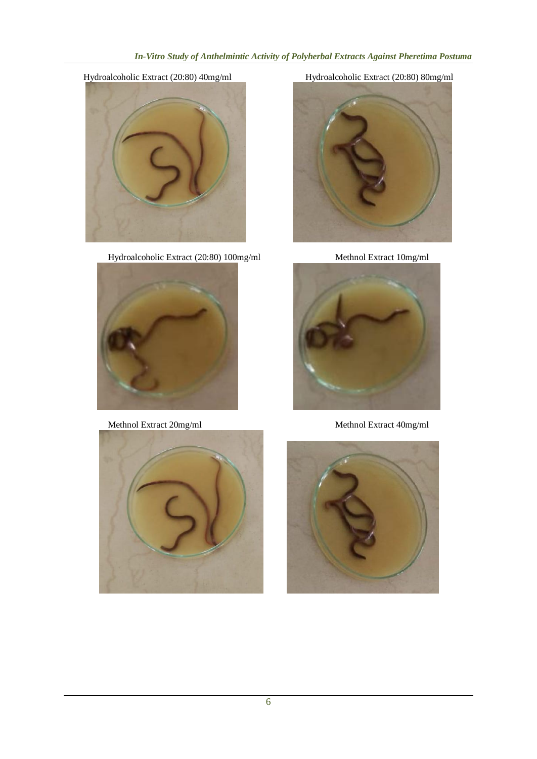## *In-Vitro Study of Anthelmintic Activity of Polyherbal Extracts Against Pheretima Postuma*



Hydroalcoholic Extract (20:80) 100mg/ml Methnol Extract 10mg/ml









Methnol Extract 20mg/ml Methnol Extract 40mg/ml



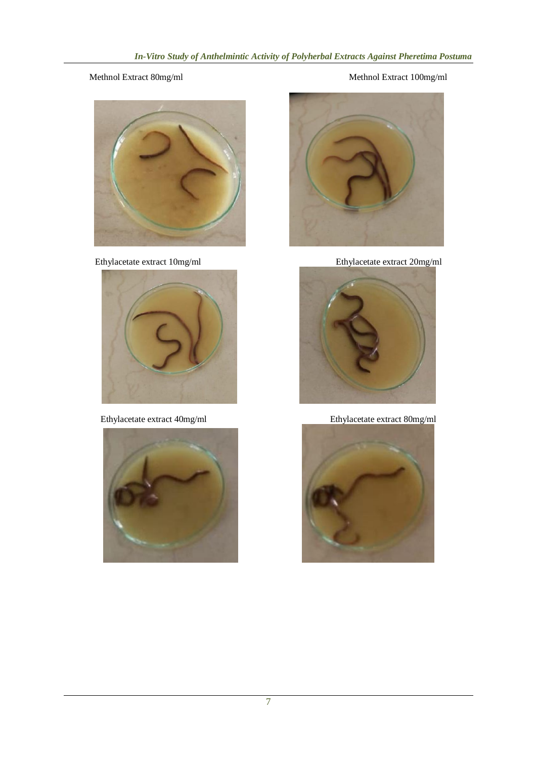## Methnol Extract 80mg/ml Methnol Extract 100mg/ml









Ethylacetate extract 10mg/ml Ethylacetate extract 20mg/ml



Ethylacetate extract 40mg/ml Ethylacetate extract 80mg/ml

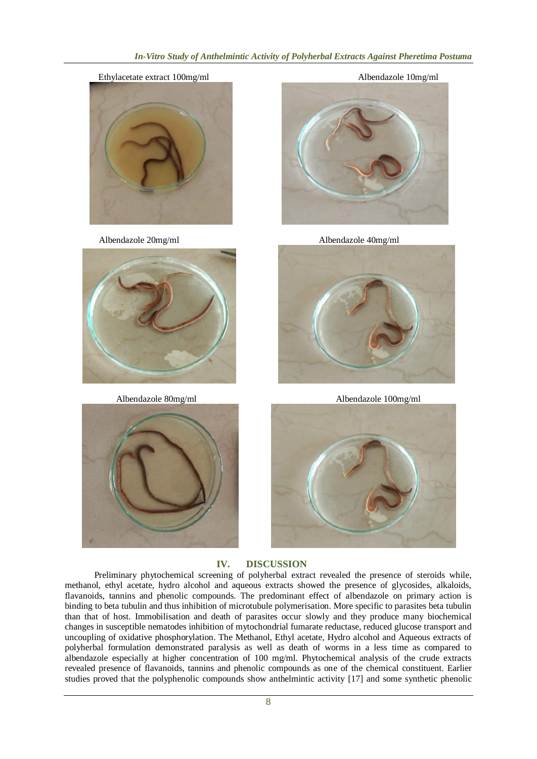## *In-Vitro Study of Anthelmintic Activity of Polyherbal Extracts Against Pheretima Postuma*















## **IV. DISCUSSION**

Preliminary phytochemical screening of polyherbal extract revealed the presence of steroids while, methanol, ethyl acetate, hydro alcohol and aqueous extracts showed the presence of glycosides, alkaloids, flavanoids, tannins and phenolic compounds. The predominant effect of albendazole on primary action is binding to beta tubulin and thus inhibition of microtubule polymerisation. More specific to parasites beta tubulin than that of host. Immobilisation and death of parasites occur slowly and they produce many biochemical changes in susceptible nematodes inhibition of mytochondrial fumarate reductase, reduced glucose transport and uncoupling of oxidative phosphorylation. The Methanol, Ethyl acetate, Hydro alcohol and Aqueous extracts of polyherbal formulation demonstrated paralysis as well as death of worms in a less time as compared to albendazole especially at higher concentration of 100 mg/ml. Phytochemical analysis of the crude extracts revealed presence of flavanoids, tannins and phenolic compounds as one of the chemical constituent. Earlier studies proved that the polyphenolic compounds show anthelmintic activity [17] and some synthetic phenolic